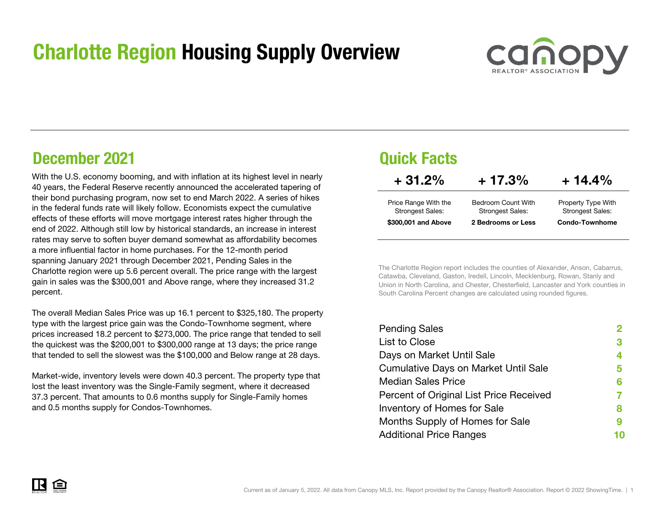## Charlotte Region Housing Supply Overview



## December 2021

With the U.S. economy booming, and with inflation at its highest level in nearly 40 years, the Federal Reserve recently announced the accelerated tapering of their bond purchasing program, now set to end March 2022. A series of hikes in the federal funds rate will likely follow. Economists expect the cumulative effects of these efforts will move mortgage interest rates higher through the end of 2022. Although still low by historical standards, an increase in interest rates may serve to soften buyer demand somewhat as affordability becomes a more influential factor in home purchases. For the 12-month period spanning January 2021 through December 2021, Pending Sales in the Charlotte region were up 5.6 percent overall. The price range with the largest gain in sales was the \$300,001 and Above range, where they increased 31.2 percent.

The overall Median Sales Price was up 16.1 percent to \$325,180. The property type with the largest price gain was the Condo-Townhome segment, where prices increased 18.2 percent to \$273,000. The price range that tended to sell the quickest was the \$200,001 to \$300,000 range at 13 days; the price range that tended to sell the slowest was the \$100,000 and Below range at 28 days.

Market-wide, inventory levels were down 40.3 percent. The property type that lost the least inventory was the Single-Family segment, where it decreased 37.3 percent. That amounts to 0.6 months supply for Single-Family homes and 0.5 months supply for Condos-Townhomes.

## Quick Facts

| $+31.2%$                | $+17.3%$                | $+14.4\%$               |
|-------------------------|-------------------------|-------------------------|
| Price Range With the    | Bedroom Count With      | Property Type With      |
| <b>Strongest Sales:</b> | <b>Strongest Sales:</b> | <b>Strongest Sales:</b> |
| \$300,001 and Above     | 2 Bedrooms or Less      | <b>Condo-Townhome</b>   |

The Charlotte Region report includes the counties of Alexander, Anson, Cabarrus, Catawba, Cleveland, Gaston, Iredell, Lincoln, Mecklenburg, Rowan, Stanly and Union in North Carolina, and Chester, Chesterfield, Lancaster and York counties in South Carolina Percent changes are calculated using rounded figures.

| <b>Pending Sales</b>                        |   |
|---------------------------------------------|---|
| List to Close                               | 3 |
| Days on Market Until Sale                   | 4 |
| <b>Cumulative Days on Market Until Sale</b> | 5 |
| <b>Median Sales Price</b>                   | 6 |
| Percent of Original List Price Received     |   |
| Inventory of Homes for Sale                 | 8 |
| Months Supply of Homes for Sale             | 9 |
| <b>Additional Price Ranges</b>              |   |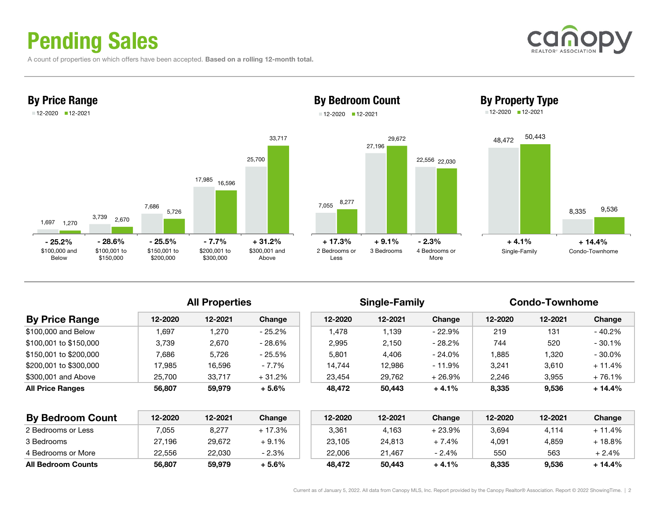# Pending Sales

A count of properties on which offers have been accepted. Based on a rolling 12-month total.









### All Properties **Single-Family** Condo-Townhome

| <b>By Price Range</b>  | 12-2020 | 12-2021 | Change   | 12-2020 | 12-2021 | Change    | 12-2020 | 12-2021 | Change    |
|------------------------|---------|---------|----------|---------|---------|-----------|---------|---------|-----------|
| \$100,000 and Below    | .697    | .270    | - 25.2%  | 1.478   | 1.139   | - 22.9%   | 219     | 131     | $-40.2%$  |
| \$100.001 to \$150.000 | 3.739   | 2,670   | - 28.6%  | 2,995   | 2.150   | - 28.2%   | 744     | 520     | $-30.1%$  |
| \$150.001 to \$200.000 | 7.686   | 5,726   | - 25.5%  | 5.801   | 4,406   | - 24.0%   | '.885   | 1,320   | $-30.0\%$ |
| \$200.001 to \$300.000 | 17.985  | 16.596  | - 7.7%   | 14.744  | 12.986  | $-11.9\%$ | 3.241   | 3,610   | $+11.4%$  |
| \$300,001 and Above    | 25.700  | 33.717  | $+31.2%$ | 23.454  | 29.762  | $+26.9%$  | 2,246   | 3,955   | $+76.1%$  |
| All Price Ranges       | 56,807  | 59,979  | $+5.6%$  | 48.472  | 50,443  | $+4.1%$   | 8,335   | 9,536   | $+14.4%$  |
|                        |         |         |          |         |         |           |         |         |           |

| <b>By Bedroom Count</b>   | 12-2020 | 12-2021 | Change  | 12-2020 | 12-2021 | Change    | 12-2020 | 12-2021 | Change  |
|---------------------------|---------|---------|---------|---------|---------|-----------|---------|---------|---------|
| 2 Bedrooms or Less        | .055    | 8,277   | + 17.3% | 3,361   | 4.163   | $-23.9\%$ | 3,694   | 4.114   | + 11.4% |
| 3 Bedrooms                | 27,196  | 29,672  | $+9.1%$ | 23,105  | 24,813  | 7.4%      | 4,091   | 4.859   | ⊦ 18.8% |
| 4 Bedrooms or More        | 22,556  | 22,030  | $-2.3%$ | 22,006  | 21,467  | $-2.4%$   | 550     | 563     | + 2.4%  |
| <b>All Bedroom Counts</b> | 56,807  | 59,979  | $+5.6%$ | 48.472  | 50,443  | $+4.1%$   | 8,335   | 9,536   | 14.4% ⊦ |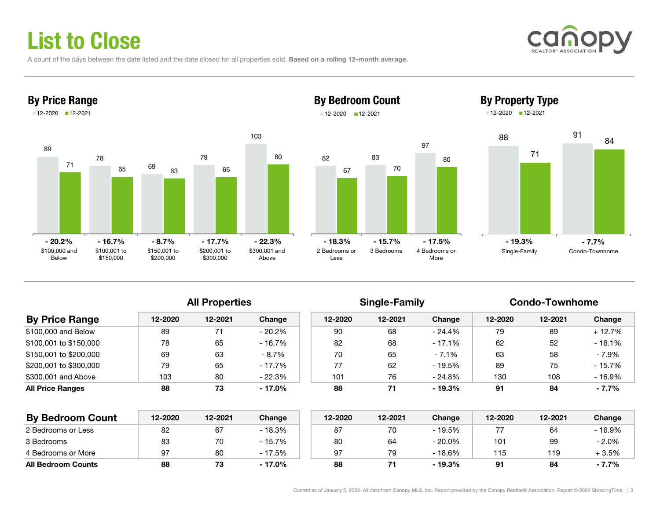# List to Close

A count of the days between the date listed and the date closed for all properties sold. Based on a rolling 12-month average.





### By Bedroom Count 12-2020 12-2021





By Property Type

|                         | <b>All Properties</b> |         |           |         | <b>Single-Family</b> |           | <b>Condo-Townhome</b> |         |           |  |
|-------------------------|-----------------------|---------|-----------|---------|----------------------|-----------|-----------------------|---------|-----------|--|
| <b>By Price Range</b>   | 12-2020               | 12-2021 | Change    | 12-2020 | 12-2021              | Change    | 12-2020               | 12-2021 | Change    |  |
| \$100,000 and Below     | 89                    |         | $-20.2\%$ | 90      | 68                   | - 24.4%   | 79                    | 89      | $+12.7%$  |  |
| \$100,001 to \$150,000  | 78                    | 65      | - 16.7%   | 82      | 68                   | - 17.1%   | 62                    | 52      | $-16.1%$  |  |
| \$150,001 to \$200,000  | 69                    | 63      | $-8.7\%$  | 70      | 65                   | $-7.1\%$  | 63                    | 58      | $-7.9%$   |  |
| \$200,001 to \$300,000  | 79                    | 65      | - 17.7%   | 77      | 62                   | - 19.5%   | 89                    | 75      | $-15.7\%$ |  |
| \$300,001 and Above     | 103                   | 80      | - 22.3%   | 101     | 76                   | - 24.8%   | 130                   | 108     | $-16.9%$  |  |
| <b>All Price Ranges</b> | 88                    | 73      | $-17.0%$  | 88      | 71                   | $-19.3\%$ | 91                    | 84      | $-7.7%$   |  |

| <b>By Bedroom Count</b>   | 12-2020 | 12-2021 | Change   | 12-2020 | 12-2021 | Change  | 12-2020 | 12-2021 | Change  |
|---------------------------|---------|---------|----------|---------|---------|---------|---------|---------|---------|
| 2 Bedrooms or Less        | 82      | 67      | $-18.3%$ | 87      |         | - 19.5% |         | 64      | - 16.9% |
| 3 Bedrooms                | 83      | 70      | - 15.7%  | 80      | 64      | - 20.0% | 101     | 99      | $-2.0%$ |
| 4 Bedrooms or More        | 97      | 80      | - 17.5%  | 97      | 79      | - 18.6% | 115     | 119     | + 3.5%  |
| <b>All Bedroom Counts</b> | 88      | 73      | - 17.0%  | 88      |         | - 19.3% | 91      | 84      | $-7.7%$ |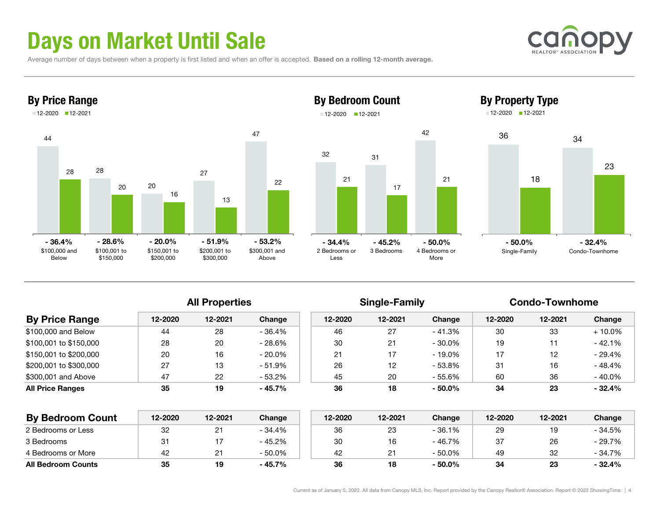# Days on Market Until Sale

Average number of days between when a property is first listed and when an offer is accepted. Based on a rolling 12-month average.





## By Bedroom Count 12-2020 12-2021



42



### All Properties **Single-Family** Condo-Townhome

Single-Family Condo-Townhome

| <b>By Price Range</b>   | 12-2020 | 12-2021 | Change    | 12-2020 | 12-2021 | Change    | 12-2020 | 12-2021 | Change    |
|-------------------------|---------|---------|-----------|---------|---------|-----------|---------|---------|-----------|
| \$100,000 and Below     | 44      | 28      | - 36.4%   | 46      | 27      | - 41.3%   | 30      | 33      | $+10.0\%$ |
| \$100,001 to \$150,000  | 28      | 20      | $-28.6%$  | 30      | 21      | - 30.0%   | 19      |         | $-42.1%$  |
| \$150,001 to \$200,000  | 20      | 16      | $-20.0\%$ | 21      |         | $-19.0\%$ | 17      | 12      | $-29.4%$  |
| \$200,001 to \$300,000  | 27      | 13      | $-51.9%$  | 26      | 12      | - 53.8%   | 31      | 16      | $-48.4%$  |
| \$300,001 and Above     | 47      | 22      | $-53.2%$  | 45      | 20      | - 55.6%   | 60      | 36      | $-40.0\%$ |
| <b>All Price Ranges</b> | 35      | 19      | $-45.7%$  | 36      | 18      | $-50.0\%$ | 34      | 23      | $-32.4%$  |
|                         |         |         |           |         |         |           |         |         |           |

| <b>By Bedroom Count</b>   | 12-2020 | 12-2021  | Change    | 12-2020 | 12-2021 | Change    | 12-2020 | 12-2021 | Change   |
|---------------------------|---------|----------|-----------|---------|---------|-----------|---------|---------|----------|
| 2 Bedrooms or Less        | 32      | <u>.</u> | - 34.4%   | 36      | 23      | - 36.1%   | 29      | 10.     | - 34.5%  |
| 3 Bedrooms                | 3.      |          | $-45.2%$  | 30      | 16      | - 46.7%   | 37      | 26      | - 29.7%  |
| 4 Bedrooms or More        | 42      |          | $-50.0\%$ | 42      |         | $-50.0\%$ | 49      | 32      | - 34.7%  |
| <b>All Bedroom Counts</b> | 35      | 19       | - 45.7%   | 36      | 18      | $-50.0\%$ | 34      | 23      | $-32.4%$ |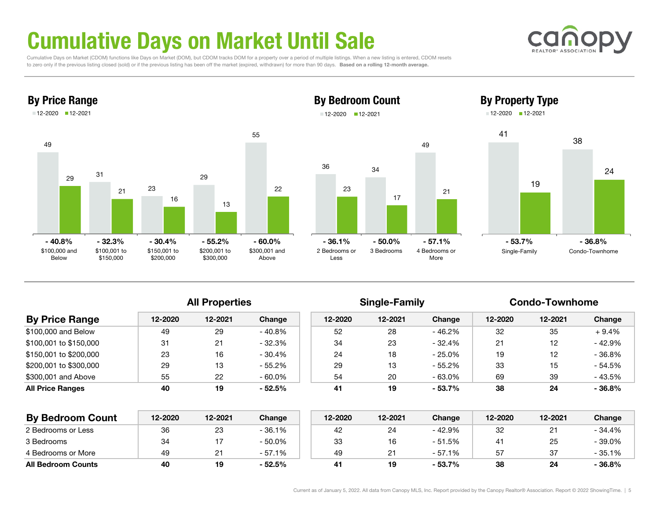# Cumulative Days on Market Until Sale

 Cumulative Days on Market (CDOM) functions like Days on Market (DOM), but CDOM tracks DOM for a property over a period of multiple listings. When a new listing is entered, CDOM resets to zero only if the previous listing closed (sold) or if the previous listing has been off the market (expired, withdrawn) for more than 90 days. Based on a rolling 12-month average.





### By Bedroom Count 12-2020 12-2021

17

3 Bedrooms 4 Bedrooms or

 $-50.0\%$   $-57.1\%$ 

49

21

More

34



By Property Type

All Properties **Single-Family** Condo-Townhome

| <b>By Price Range</b>   | 12-2020 | 12-2021 | Change    | 12-2020 | 12-2021 | Change    | 12-2020 | 12-2021 | Change   |
|-------------------------|---------|---------|-----------|---------|---------|-----------|---------|---------|----------|
| \$100,000 and Below     | -49     | 29      | $-40.8%$  | 52      | 28      | - 46.2%   | 32      | 35      | $+9.4%$  |
| \$100,001 to \$150,000  | 31      | 21      | $-32.3%$  | 34      | 23      | $-32.4%$  | 21      | 12      | - 42.9%  |
| \$150,001 to \$200,000  | 23      | 16      | $-30.4%$  | 24      | 18      | - 25.0%   | 19      | 12      | $-36.8%$ |
| \$200,001 to \$300,000  | 29      | 13      | $-55.2\%$ | 29      | 13      | - 55.2%   | 33      | 15      | - 54.5%  |
| \$300,001 and Above     | 55      | 22      | $-60.0\%$ | 54      | 20      | - 63.0%   | 69      | 39      | $-43.5%$ |
| <b>All Price Ranges</b> | 40      | 19      | $-52.5%$  | 41      | 19      | $-53.7\%$ | 38      | 24      | $-36.8%$ |
|                         |         |         |           |         |         |           |         |         |          |

36

23

2 Bedrooms orLess

- 36.1%

| <b>By Bedroom Count</b>   | 12-2020 | 12-2021 | Change    | 12-2020 | 12-2021 | Change   | 12-2020        | 12-2021 | Change  |
|---------------------------|---------|---------|-----------|---------|---------|----------|----------------|---------|---------|
| 2 Bedrooms or Less        | 36      | 23      | - 36.1%   | 42      | 24      | - 42.9%  | 32             | ດ-1     | - 34.4% |
| 3 Bedrooms                | 34      |         | $-50.0\%$ | 33      |         | $-51.5%$ | 4 <sup>1</sup> | 25      | - 39.0% |
| 4 Bedrooms or More        | 49      |         | $-57.1%$  | 49      |         | $-57.1%$ | 57             | 37      | - 35.1% |
| <b>All Bedroom Counts</b> | 40      | 19      | $-52.5%$  | 41      | 19      | - 53.7%  | 38             | 24      | - 36.8% |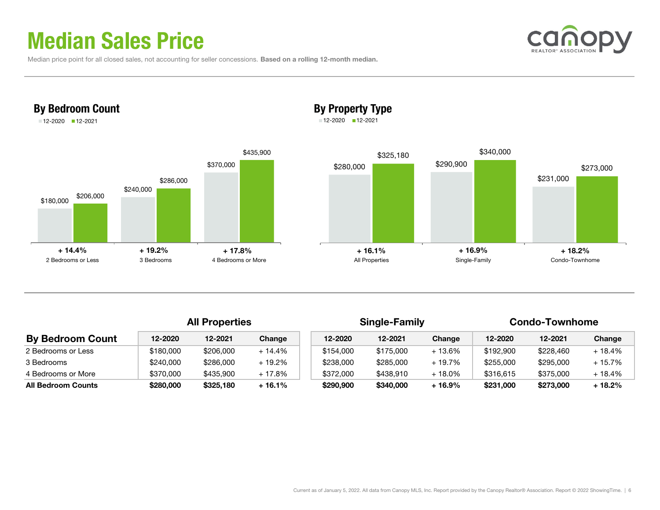## Median Sales Price

By Bedroom Count 12-2020 12-2021

|  |  | Median price point for all closed sales, not accounting for seller concessions. Based on a rolling 12-month median. |  |
|--|--|---------------------------------------------------------------------------------------------------------------------|--|
|--|--|---------------------------------------------------------------------------------------------------------------------|--|



## By Property Type

12-2020 12-2021



|                           | <b>All Properties</b> |           |          |           | <b>Single-Family</b> |         | <b>Condo-Townhome</b> |           |          |
|---------------------------|-----------------------|-----------|----------|-----------|----------------------|---------|-----------------------|-----------|----------|
| <b>By Bedroom Count</b>   | 12-2020               | 12-2021   | Change   | 12-2020   | 12-2021              | Change  | 12-2020               | 12-2021   | Change   |
| 2 Bedrooms or Less        | \$180,000             | \$206,000 | $+14.4%$ | \$154,000 | \$175,000            | + 13.6% | \$192,900             | \$228,460 | $+18.4%$ |
| 3 Bedrooms                | \$240,000             | \$286,000 | $+19.2%$ | \$238,000 | \$285,000            | + 19.7% | \$255,000             | \$295,000 | $+15.7%$ |
| 4 Bedrooms or More        | \$370,000             | \$435,900 | $+17.8%$ | \$372,000 | \$438,910            | + 18.0% | \$316,615             | \$375,000 | $+18.4%$ |
| <b>All Bedroom Counts</b> | \$280,000             | \$325,180 | + 16.1%  | \$290,900 | \$340,000            | + 16.9% | \$231,000             | \$273,000 | + 18.2%  |

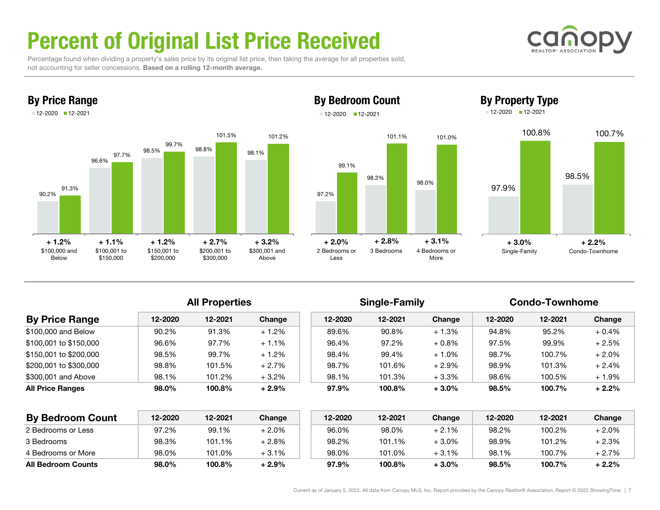# Percent of Original List Price Received

 Percentage found when dividing a property's sales price by its original list price, then taking the average for all properties sold, not accounting for seller concessions. Based on a rolling 12-month average.



By Price Range

## 12-2020 12-2021

By Bedroom Count





### All Properties **Single-Family** Condo-Townhome

| <b>By Price Range</b>   | 12-2020 | 12-2021 | Change  | 12-2020 | 12-2021 | Change   | 12-2020 | 12-2021 | Change   |
|-------------------------|---------|---------|---------|---------|---------|----------|---------|---------|----------|
| \$100,000 and Below     | 90.2%   | 91.3%   | $+1.2%$ | 89.6%   | 90.8%   | $+1.3%$  | 94.8%   | 95.2%   | $+0.4%$  |
| \$100,001 to \$150,000  | 96.6%   | 97.7%   | $+1.1%$ | 96.4%   | 97.2%   | $+0.8\%$ | 97.5%   | 99.9%   | $+2.5%$  |
| \$150,001 to \$200,000  | 98.5%   | 99.7%   | $+1.2%$ | 98.4%   | 99.4%   | $+1.0%$  | 98.7%   | 100.7%  | $+2.0%$  |
| \$200,001 to \$300,000  | 98.8%   | 101.5%  | $+2.7%$ | 98.7%   | 101.6%  | $+2.9%$  | 98.9%   | 101.3%  | $+2.4%$  |
| \$300,001 and Above     | 98.1%   | 101.2%  | $+3.2%$ | 98.1%   | 101.3%  | $+3.3%$  | 98.6%   | 100.5%  | $+1.9\%$ |
| <b>All Price Ranges</b> | 98.0%   | 100.8%  | $+2.9%$ | 97.9%   | 100.8%  | $+3.0%$  | 98.5%   | 100.7%  | $+2.2%$  |

| <b>By Bedroom Count</b>   | 12-2020 | 12-2021 | Change  | 12-2020 | 12-2021 | Change  | 12-2020 | 12-2021 | Change  |
|---------------------------|---------|---------|---------|---------|---------|---------|---------|---------|---------|
| 2 Bedrooms or Less        | 97.2%   | 99.1%   | + 2.0%  | 96.0%   | 98.0%   | $+2.1%$ | 98.2%   | 100.2%  | + 2.0%  |
| 3 Bedrooms                | 98.3%   | 101.1%  | + 2.8%  | 98.2%   | 101.1%  | $+3.0%$ | 98.9%   | 101.2%  | + 2.3%  |
| 4 Bedrooms or More        | 98.0%   | 101.0%  | $+3.1%$ | 98.0%   | 101.0%  | $+3.1%$ | 98.1%   | 100.7%  | $+2.7%$ |
| <b>All Bedroom Counts</b> | 98.0%   | 100.8%  | + 2.9%  | 97.9%   | 100.8%  | $+3.0%$ | 98.5%   | 100.7%  | + 2.2%  |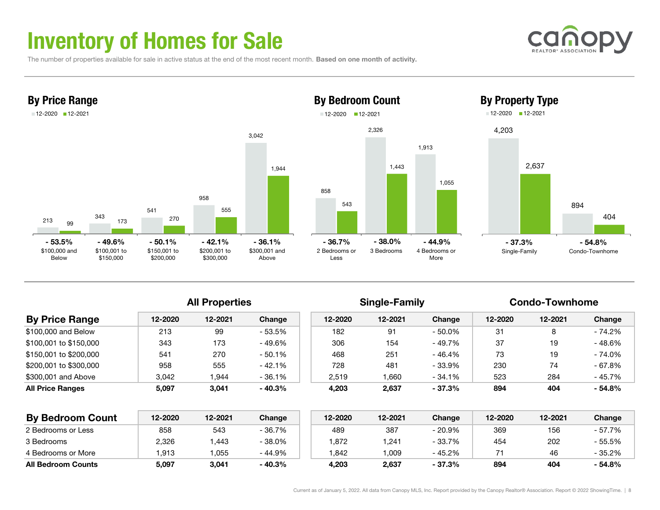## Inventory of Homes for Sale

The number of properties available for sale in active status at the end of the most recent month. Based on one month of activity.





### 8582,326 1,913 5431,443 1,055 2 Bedrooms orLess3 Bedrooms 4 Bedrooms orMoreBy Bedroom Count 12-2020 12-2021 - 36.7% - 38.0% - 44.9% - 37.3% - 54.8%



All Properties **Single-Family** Condo-Townhome

| <b>By Price Range</b>  | 12-2020         | 12-2021 | Change   | 12-2020 | 12-2021         | Change    | 12-2020 | 12-2021 | Change    |
|------------------------|-----------------|---------|----------|---------|-----------------|-----------|---------|---------|-----------|
| \$100,000 and Below    | 213             | 99      | - 53.5%  | 182     | 91              | $-50.0\%$ | 31      | 8       | $-74.2%$  |
| \$100.001 to \$150.000 | 343             | 173     | - 49.6%  | 306     | 154             | - 49.7%   | 37      | 19      | - 48.6%   |
| \$150.001 to \$200.000 | 54 <sup>1</sup> | 270     | $-50.1%$ | 468     | 251             | - 46.4%   | 73      | 19      | $-74.0\%$ |
| \$200.001 to \$300.000 | 958             | 555     | $-42.1%$ | 728     | 48 <sup>1</sup> | - 33.9%   | 230     | 74      | $-67.8%$  |
| \$300,001 and Above    | 3.042           | 944     | $-36.1%$ | 2.519   | 1.660           | - 34.1%   | 523     | 284     | - 45.7%   |
| All Price Ranges       | 5,097           | 3,041   | $-40.3%$ | 4,203   | 2,637           | $-37.3%$  | 894     | 404     | $-54.8%$  |

| <b>By Bedroom Count</b>   | 12-2020 | 12-2021 | Change   | 12-2020 | 12-2021 | Change   | 12-2020 | 12-2021 | Change  |
|---------------------------|---------|---------|----------|---------|---------|----------|---------|---------|---------|
| 2 Bedrooms or Less        | 858     | 543     | - 36.7%  | 489     | 387     | 20.9%    | 369     | 156     | - 57.7% |
| 3 Bedrooms                | 2,326   | .443    | $-38.0%$ | .872    | .241    | $-33.7%$ | 454     | 202     | - 55.5% |
| 4 Bedrooms or More        | .913    | .055    | $-44.9%$ | .842    | .009    | - 45.2%  | 71      | 46      | - 35.2% |
| <b>All Bedroom Counts</b> | 5.097   | 3.041   | $-40.3%$ | 4.203   | 2.637   | $-37.3%$ | 894     | 404     | - 54.8% |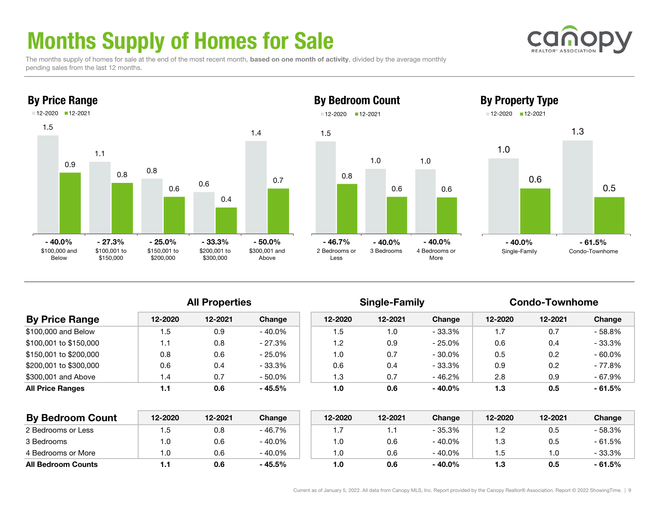# Months Supply of Homes for Sale

The months supply of homes for sale at the end of the most recent month, based on one month of activity, divided by the average monthly pending sales from the last 12 months.



### By Property Type



1.0

All Properties **Single-Family** Condo-Townhome

| <b>By Price Range</b>   | 12-2020 | 12-2021 | Change    | 12-2020 | 12-2021 | Change    | 12-2020 | 12-2021 | Change    |
|-------------------------|---------|---------|-----------|---------|---------|-----------|---------|---------|-----------|
| \$100,000 and Below     | 1.5     | 0.9     | - 40.0%   | 1.5     | 1.0     | - 33.3%   | 1.7     | 0.7     | $-58.8%$  |
| \$100.001 to \$150.000  | 1.1     | 0.8     | $-27.3%$  | 1.2     | 0.9     | $-25.0\%$ | 0.6     | 0.4     | $-33.3%$  |
| \$150.001 to \$200.000  | 0.8     | 0.6     | $-25.0\%$ | 1.0     | 0.7     | $-30.0\%$ | 0.5     | 0.2     | $-60.0\%$ |
| \$200,001 to \$300,000  | 0.6     | 0.4     | $-33.3\%$ | 0.6     | 0.4     | - 33.3%   | 0.9     | 0.2     | $-77.8%$  |
| \$300,001 and Above     | ، 4     | 0.7     | - 50.0%   | 1.3     | 0.7     | - 46.2%   | 2.8     | 0.9     | - 67.9%   |
| <b>All Price Ranges</b> | 1.1     | 0.6     | - 45.5%   | 1.0     | 0.6     | $-40.0\%$ | 1.3     | 0.5     | $-61.5%$  |
|                         |         |         |           |         |         |           |         |         |           |

1.5

0.8

12-2020 12-2021

2 Bedrooms orLess

| <b>By Bedroom Count</b>   | 12-2020 | 12-2021 | Change    | 12-2020 | 12-2021 | Change    | 12-2020 | 12-2021 | Change   |
|---------------------------|---------|---------|-----------|---------|---------|-----------|---------|---------|----------|
| 2 Bedrooms or Less        | . .5    | 0.8     | $-46.7%$  |         |         | - 35.3%   |         | 0.5     | - 58.3%  |
| 3 Bedrooms                | 1.0     | 0.6     | - 40.0%   | 0. ا    | 0.6     | $-40.0\%$ | 1.3     | 0.5     | $-61.5%$ |
| 4 Bedrooms or More        | 1.0     | 0.6     | $-40.0\%$ | 0. ا    | 0.6     | $-40.0\%$ | .5      |         | - 33.3%  |
| <b>All Bedroom Counts</b> |         | 0.6     | - 45.5%   | 1.0     | 0.6     | $-40.0\%$ | 1.3     | 0.5     | - 61.5%  |



0.5